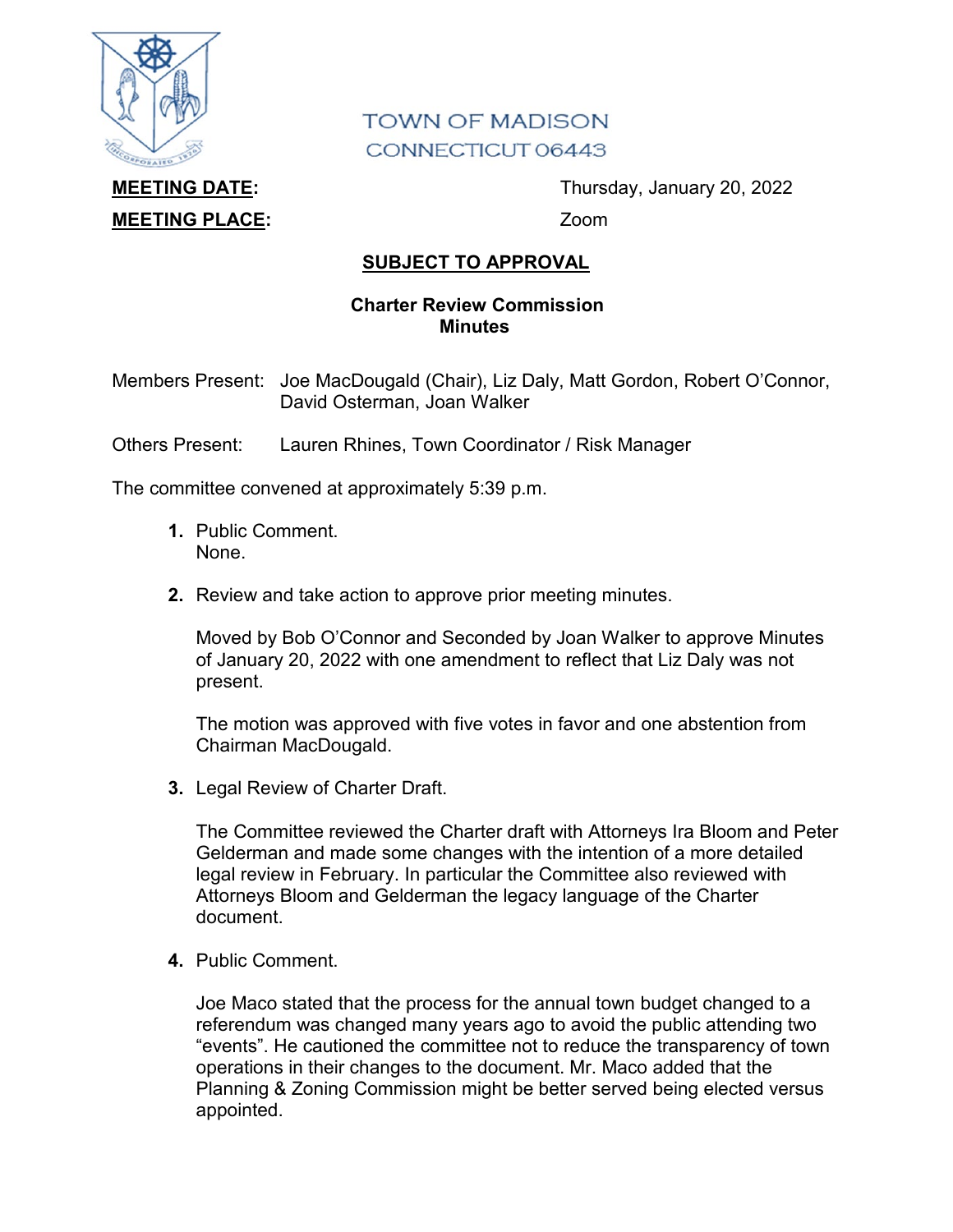

## **TOWN OF MADISON** CONNECTICUT 06443

## **MEETING PLACE:** Zoom

**MEETING DATE:** Thursday, January 20, 2022

## **SUBJECT TO APPROVAL**

## **Charter Review Commission Minutes**

Members Present: Joe MacDougald (Chair), Liz Daly, Matt Gordon, Robert O'Connor, David Osterman, Joan Walker

Others Present: Lauren Rhines, Town Coordinator / Risk Manager

The committee convened at approximately 5:39 p.m.

- **1.** Public Comment. None.
- **2.** Review and take action to approve prior meeting minutes.

Moved by Bob O'Connor and Seconded by Joan Walker to approve Minutes of January 20, 2022 with one amendment to reflect that Liz Daly was not present.

The motion was approved with five votes in favor and one abstention from Chairman MacDougald.

**3.** Legal Review of Charter Draft.

The Committee reviewed the Charter draft with Attorneys Ira Bloom and Peter Gelderman and made some changes with the intention of a more detailed legal review in February. In particular the Committee also reviewed with Attorneys Bloom and Gelderman the legacy language of the Charter document.

**4.** Public Comment.

Joe Maco stated that the process for the annual town budget changed to a referendum was changed many years ago to avoid the public attending two "events". He cautioned the committee not to reduce the transparency of town operations in their changes to the document. Mr. Maco added that the Planning & Zoning Commission might be better served being elected versus appointed.